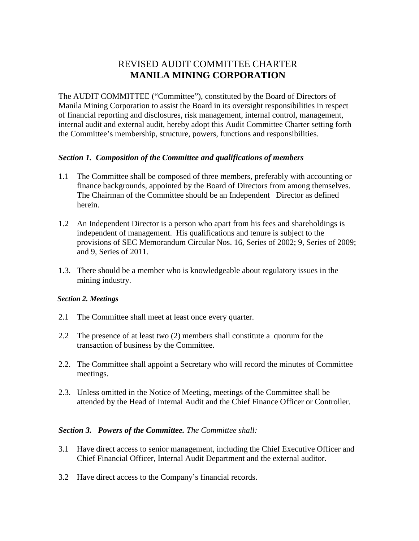# REVISED AUDIT COMMITTEE CHARTER **MANILA MINING CORPORATION**

The AUDIT COMMITTEE ("Committee"), constituted by the Board of Directors of Manila Mining Corporation to assist the Board in its oversight responsibilities in respect of financial reporting and disclosures, risk management, internal control, management, internal audit and external audit, hereby adopt this Audit Committee Charter setting forth the Committee's membership, structure, powers, functions and responsibilities.

## *Section 1. Composition of the Committee and qualifications of members*

- 1.1 The Committee shall be composed of three members, preferably with accounting or finance backgrounds, appointed by the Board of Directors from among themselves. The Chairman of the Committee should be an Independent Director as defined herein.
- 1.2 An Independent Director is a person who apart from his fees and shareholdings is independent of management. His qualifications and tenure is subject to the provisions of SEC Memorandum Circular Nos. 16, Series of 2002; 9, Series of 2009; and 9, Series of 2011.
- 1.3. There should be a member who is knowledgeable about regulatory issues in the mining industry.

#### *Section 2. Meetings*

- 2.1 The Committee shall meet at least once every quarter.
- 2.2 The presence of at least two (2) members shall constitute a quorum for the transaction of business by the Committee.
- 2.2. The Committee shall appoint a Secretary who will record the minutes of Committee meetings.
- 2.3. Unless omitted in the Notice of Meeting, meetings of the Committee shall be attended by the Head of Internal Audit and the Chief Finance Officer or Controller.

#### *Section 3. Powers of the Committee. The Committee shall:*

- 3.1 Have direct access to senior management, including the Chief Executive Officer and Chief Financial Officer, Internal Audit Department and the external auditor.
- 3.2 Have direct access to the Company's financial records.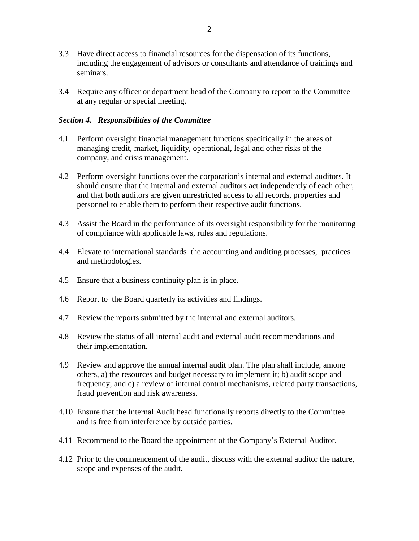- 3.3 Have direct access to financial resources for the dispensation of its functions, including the engagement of advisors or consultants and attendance of trainings and seminars.
- 3.4 Require any officer or department head of the Company to report to the Committee at any regular or special meeting.

### *Section 4. Responsibilities of the Committee*

- 4.1 Perform oversight financial management functions specifically in the areas of managing credit, market, liquidity, operational, legal and other risks of the company, and crisis management.
- 4.2 Perform oversight functions over the corporation's internal and external auditors. It should ensure that the internal and external auditors act independently of each other, and that both auditors are given unrestricted access to all records, properties and personnel to enable them to perform their respective audit functions.
- 4.3 Assist the Board in the performance of its oversight responsibility for the monitoring of compliance with applicable laws, rules and regulations.
- 4.4 Elevate to international standards the accounting and auditing processes, practices and methodologies.
- 4.5 Ensure that a business continuity plan is in place.
- 4.6 Report to the Board quarterly its activities and findings.
- 4.7 Review the reports submitted by the internal and external auditors.
- 4.8 Review the status of all internal audit and external audit recommendations and their implementation.
- 4.9 Review and approve the annual internal audit plan. The plan shall include, among others, a) the resources and budget necessary to implement it; b) audit scope and frequency; and c) a review of internal control mechanisms, related party transactions, fraud prevention and risk awareness.
- 4.10 Ensure that the Internal Audit head functionally reports directly to the Committee and is free from interference by outside parties.
- 4.11 Recommend to the Board the appointment of the Company's External Auditor.
- 4.12 Prior to the commencement of the audit, discuss with the external auditor the nature, scope and expenses of the audit.